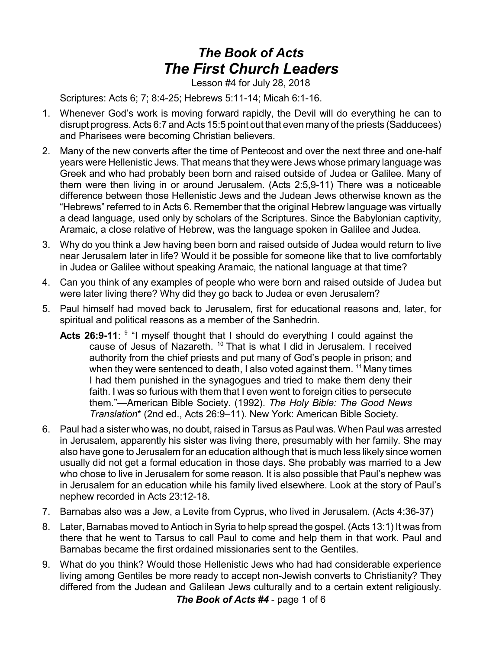## *The Book of Acts The First Church Leaders*

Lesson #4 for July 28, 2018

Scriptures: Acts 6; 7; 8:4-25; Hebrews 5:11-14; Micah 6:1-16.

- 1. Whenever God's work is moving forward rapidly, the Devil will do everything he can to disrupt progress. Acts 6:7 and Acts 15:5 point out that even many of the priests (Sadducees) and Pharisees were becoming Christian believers.
- 2. Many of the new converts after the time of Pentecost and over the next three and one-half years were Hellenistic Jews. That means that they were Jews whose primary language was Greek and who had probably been born and raised outside of Judea or Galilee. Many of them were then living in or around Jerusalem. (Acts 2:5,9-11) There was a noticeable difference between those Hellenistic Jews and the Judean Jews otherwise known as the "Hebrews" referred to in Acts 6. Remember that the original Hebrew language was virtually a dead language, used only by scholars of the Scriptures. Since the Babylonian captivity, Aramaic, a close relative of Hebrew, was the language spoken in Galilee and Judea.
- 3. Why do you think a Jew having been born and raised outside of Judea would return to live near Jerusalem later in life? Would it be possible for someone like that to live comfortably in Judea or Galilee without speaking Aramaic, the national language at that time?
- 4. Can you think of any examples of people who were born and raised outside of Judea but were later living there? Why did they go back to Judea or even Jerusalem?
- 5. Paul himself had moved back to Jerusalem, first for educational reasons and, later, for spiritual and political reasons as a member of the Sanhedrin.
	- Acts 26:9-11: <sup>9</sup> "I myself thought that I should do everything I could against the cause of Jesus of Nazareth.<sup>10</sup> That is what I did in Jerusalem. I received authority from the chief priests and put many of God's people in prison; and when they were sentenced to death, I also voted against them. <sup>11</sup> Many times I had them punished in the synagogues and tried to make them deny their faith. I was so furious with them that I even went to foreign cities to persecute them."—American Bible Society. (1992). *The Holy Bible: The Good News Translation*\* (2nd ed., Acts 26:9–11). New York: American Bible Society.
- 6. Paul had a sister who was, no doubt, raised in Tarsus as Paul was. When Paul was arrested in Jerusalem, apparently his sister was living there, presumably with her family. She may also have gone to Jerusalem for an education although that is much less likely since women usually did not get a formal education in those days. She probably was married to a Jew who chose to live in Jerusalem for some reason. It is also possible that Paul's nephew was in Jerusalem for an education while his family lived elsewhere. Look at the story of Paul's nephew recorded in Acts 23:12-18.
- 7. Barnabas also was a Jew, a Levite from Cyprus, who lived in Jerusalem. (Acts 4:36-37)
- 8. Later, Barnabas moved to Antioch in Syria to help spread the gospel. (Acts 13:1) It was from there that he went to Tarsus to call Paul to come and help them in that work. Paul and Barnabas became the first ordained missionaries sent to the Gentiles.
- 9. What do you think? Would those Hellenistic Jews who had had considerable experience living among Gentiles be more ready to accept non-Jewish converts to Christianity? They differed from the Judean and Galilean Jews culturally and to a certain extent religiously. *The Book of Acts #4* - page 1 of 6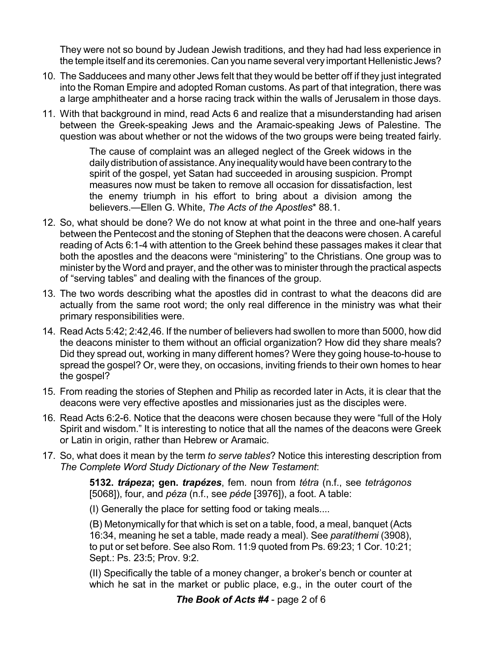They were not so bound by Judean Jewish traditions, and they had had less experience in the temple itself and its ceremonies. Can you name several very important Hellenistic Jews?

- 10. The Sadducees and many other Jews felt that they would be better off if they just integrated into the Roman Empire and adopted Roman customs. As part of that integration, there was a large amphitheater and a horse racing track within the walls of Jerusalem in those days.
- 11. With that background in mind, read Acts 6 and realize that a misunderstanding had arisen between the Greek-speaking Jews and the Aramaic-speaking Jews of Palestine. The question was about whether or not the widows of the two groups were being treated fairly.

The cause of complaint was an alleged neglect of the Greek widows in the daily distribution of assistance. Any inequality would have been contrary to the spirit of the gospel, yet Satan had succeeded in arousing suspicion. Prompt measures now must be taken to remove all occasion for dissatisfaction, lest the enemy triumph in his effort to bring about a division among the believers.—Ellen G. White, *The Acts of the Apostles*\* 88.1.

- 12. So, what should be done? We do not know at what point in the three and one-half years between the Pentecost and the stoning of Stephen that the deacons were chosen. A careful reading of Acts 6:1-4 with attention to the Greek behind these passages makes it clear that both the apostles and the deacons were "ministering" to the Christians. One group was to minister by the Word and prayer, and the other was to minister through the practical aspects of "serving tables" and dealing with the finances of the group.
- 13. The two words describing what the apostles did in contrast to what the deacons did are actually from the same root word; the only real difference in the ministry was what their primary responsibilities were.
- 14. Read Acts 5:42; 2:42,46. If the number of believers had swollen to more than 5000, how did the deacons minister to them without an official organization? How did they share meals? Did they spread out, working in many different homes? Were they going house-to-house to spread the gospel? Or, were they, on occasions, inviting friends to their own homes to hear the gospel?
- 15. From reading the stories of Stephen and Philip as recorded later in Acts, it is clear that the deacons were very effective apostles and missionaries just as the disciples were.
- 16. Read Acts 6:2-6. Notice that the deacons were chosen because they were "full of the Holy Spirit and wisdom." It is interesting to notice that all the names of the deacons were Greek or Latin in origin, rather than Hebrew or Aramaic.
- 17. So, what does it mean by the term *to serve tables*? Notice this interesting description from *The Complete Word Study Dictionary of the New Testament*:

**5132.** *trápeza***; gen.** *trapézes*, fem. noun from *tétra* (n.f., see *tetrágonos* [5068]), four, and *péza* (n.f., see *péde* [3976]), a foot. A table:

(I) Generally the place for setting food or taking meals....

(B) Metonymically for that which is set on a table, food, a meal, banquet (Acts 16:34, meaning he set a table, made ready a meal). See *paratíthemi* (3908), to put or set before. See also Rom. 11:9 quoted from Ps. 69:23; 1 Cor. 10:21; Sept.: Ps. 23:5; Prov. 9:2.

(II) Specifically the table of a money changer, a broker's bench or counter at which he sat in the market or public place, e.g., in the outer court of the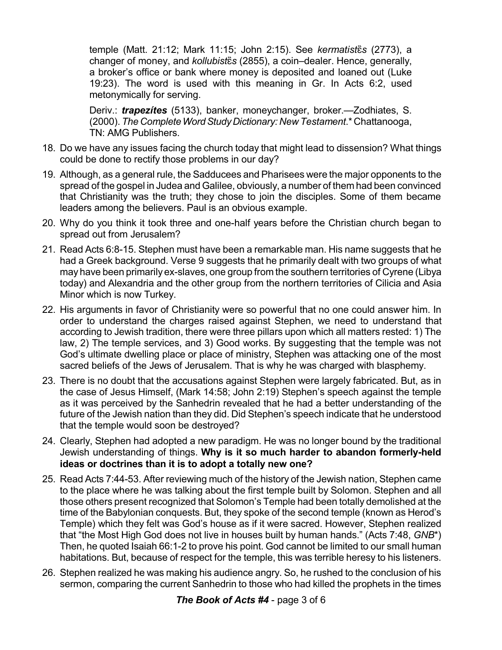temple (Matt. 21:12; Mark 11:15; John 2:15). See *kermatist¨s* (2773), a changer of money, and *kollubist¨s* (2855), a coin–dealer. Hence, generally, a broker's office or bank where money is deposited and loaned out (Luke 19:23). The word is used with this meaning in Gr. In Acts 6:2, used metonymically for serving.

Deriv.: *trapezítes* (5133), banker, moneychanger, broker.—Zodhiates, S. (2000).*The CompleteWordStudyDictionary: New Testament*.\* Chattanooga, TN: AMG Publishers.

- 18. Do we have any issues facing the church today that might lead to dissension? What things could be done to rectify those problems in our day?
- 19. Although, as a general rule, the Sadducees and Pharisees were the major opponents to the spread of the gospel in Judea and Galilee, obviously, a number of them had been convinced that Christianity was the truth; they chose to join the disciples. Some of them became leaders among the believers. Paul is an obvious example.
- 20. Why do you think it took three and one-half years before the Christian church began to spread out from Jerusalem?
- 21. Read Acts 6:8-15. Stephen must have been a remarkable man. His name suggests that he had a Greek background. Verse 9 suggests that he primarily dealt with two groups of what may have been primarily ex-slaves, one group from the southern territories of Cyrene (Libya today) and Alexandria and the other group from the northern territories of Cilicia and Asia Minor which is now Turkey.
- 22. His arguments in favor of Christianity were so powerful that no one could answer him. In order to understand the charges raised against Stephen, we need to understand that according to Jewish tradition, there were three pillars upon which all matters rested: 1) The law, 2) The temple services, and 3) Good works. By suggesting that the temple was not God's ultimate dwelling place or place of ministry, Stephen was attacking one of the most sacred beliefs of the Jews of Jerusalem. That is why he was charged with blasphemy.
- 23. There is no doubt that the accusations against Stephen were largely fabricated. But, as in the case of Jesus Himself, (Mark 14:58; John 2:19) Stephen's speech against the temple as it was perceived by the Sanhedrin revealed that he had a better understanding of the future of the Jewish nation than they did. Did Stephen's speech indicate that he understood that the temple would soon be destroyed?
- 24. Clearly, Stephen had adopted a new paradigm. He was no longer bound by the traditional Jewish understanding of things. **Why is it so much harder to abandon formerly-held ideas or doctrines than it is to adopt a totally new one?**
- 25. Read Acts 7:44-53. After reviewing much of the history of the Jewish nation, Stephen came to the place where he was talking about the first temple built by Solomon. Stephen and all those others present recognized that Solomon's Temple had been totally demolished at the time of the Babylonian conquests. But, they spoke of the second temple (known as Herod's Temple) which they felt was God's house as if it were sacred. However, Stephen realized that "the Most High God does not live in houses built by human hands." (Acts 7:48, *GNB*\*) Then, he quoted Isaiah 66:1-2 to prove his point. God cannot be limited to our small human habitations. But, because of respect for the temple, this was terrible heresy to his listeners.
- 26. Stephen realized he was making his audience angry. So, he rushed to the conclusion of his sermon, comparing the current Sanhedrin to those who had killed the prophets in the times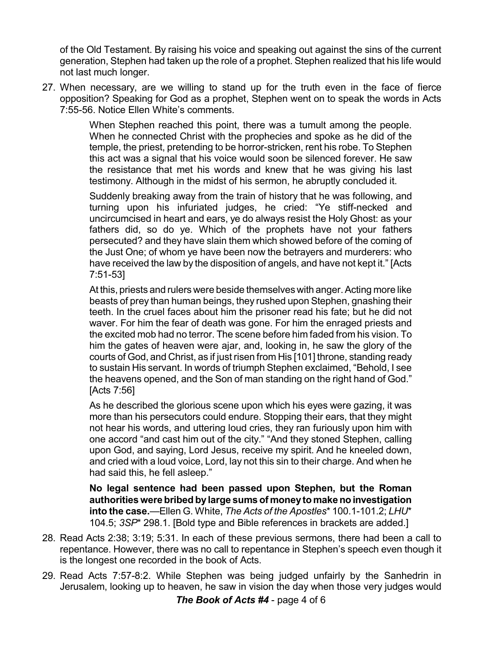of the Old Testament. By raising his voice and speaking out against the sins of the current generation, Stephen had taken up the role of a prophet. Stephen realized that his life would not last much longer.

27. When necessary, are we willing to stand up for the truth even in the face of fierce opposition? Speaking for God as a prophet, Stephen went on to speak the words in Acts 7:55-56. Notice Ellen White's comments.

> When Stephen reached this point, there was a tumult among the people. When he connected Christ with the prophecies and spoke as he did of the temple, the priest, pretending to be horror-stricken, rent his robe. To Stephen this act was a signal that his voice would soon be silenced forever. He saw the resistance that met his words and knew that he was giving his last testimony. Although in the midst of his sermon, he abruptly concluded it.

> Suddenly breaking away from the train of history that he was following, and turning upon his infuriated judges, he cried: "Ye stiff-necked and uncircumcised in heart and ears, ye do always resist the Holy Ghost: as your fathers did, so do ye. Which of the prophets have not your fathers persecuted? and they have slain them which showed before of the coming of the Just One; of whom ye have been now the betrayers and murderers: who have received the law by the disposition of angels, and have not kept it." [Acts 7:51-53]

> At this, priests and rulers were beside themselves with anger.Acting more like beasts of prey than human beings, they rushed upon Stephen, gnashing their teeth. In the cruel faces about him the prisoner read his fate; but he did not waver. For him the fear of death was gone. For him the enraged priests and the excited mob had no terror. The scene before him faded from his vision. To him the gates of heaven were ajar, and, looking in, he saw the glory of the courts of God, and Christ, as if just risen from His [101] throne, standing ready to sustain His servant. In words of triumph Stephen exclaimed, "Behold, I see the heavens opened, and the Son of man standing on the right hand of God." [Acts 7:56]

> As he described the glorious scene upon which his eyes were gazing, it was more than his persecutors could endure. Stopping their ears, that they might not hear his words, and uttering loud cries, they ran furiously upon him with one accord "and cast him out of the city." "And they stoned Stephen, calling upon God, and saying, Lord Jesus, receive my spirit. And he kneeled down, and cried with a loud voice, Lord, lay not this sin to their charge. And when he had said this, he fell asleep."

> **No legal sentence had been passed upon Stephen, but the Roman authoritieswere bribedbylarge sums of moneytomake noinvestigation into the case.**—Ellen G. White, *The Acts of the Apostles*\* 100.1-101.2; *LHU*\* 104.5; *3SP*\* 298.1. [Bold type and Bible references in brackets are added.]

- 28. Read Acts 2:38; 3:19; 5:31. In each of these previous sermons, there had been a call to repentance. However, there was no call to repentance in Stephen's speech even though it is the longest one recorded in the book of Acts.
- 29. Read Acts 7:57-8:2. While Stephen was being judged unfairly by the Sanhedrin in Jerusalem, looking up to heaven, he saw in vision the day when those very judges would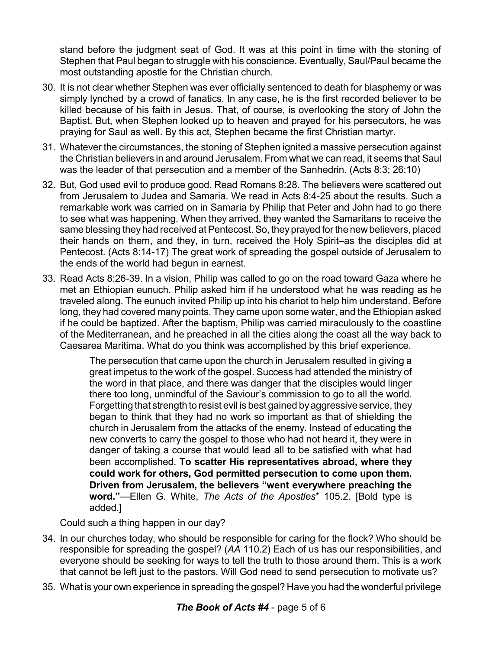stand before the judgment seat of God. It was at this point in time with the stoning of Stephen that Paul began to struggle with his conscience. Eventually, Saul/Paul became the most outstanding apostle for the Christian church.

- 30. It is not clear whether Stephen was ever officially sentenced to death for blasphemy or was simply lynched by a crowd of fanatics. In any case, he is the first recorded believer to be killed because of his faith in Jesus. That, of course, is overlooking the story of John the Baptist. But, when Stephen looked up to heaven and prayed for his persecutors, he was praying for Saul as well. By this act, Stephen became the first Christian martyr.
- 31. Whatever the circumstances, the stoning of Stephen ignited a massive persecution against the Christian believers in and around Jerusalem. From what we can read, it seems that Saul was the leader of that persecution and a member of the Sanhedrin. (Acts 8:3; 26:10)
- 32. But, God used evil to produce good. Read Romans 8:28. The believers were scattered out from Jerusalem to Judea and Samaria. We read in Acts 8:4-25 about the results. Such a remarkable work was carried on in Samaria by Philip that Peter and John had to go there to see what was happening. When they arrived, they wanted the Samaritans to receive the same blessing they had received at Pentecost. So, they prayed for the new believers, placed their hands on them, and they, in turn, received the Holy Spirit–as the disciples did at Pentecost. (Acts 8:14-17) The great work of spreading the gospel outside of Jerusalem to the ends of the world had begun in earnest.
- 33. Read Acts 8:26-39. In a vision, Philip was called to go on the road toward Gaza where he met an Ethiopian eunuch. Philip asked him if he understood what he was reading as he traveled along. The eunuch invited Philip up into his chariot to help him understand. Before long, they had covered many points. They came upon some water, and the Ethiopian asked if he could be baptized. After the baptism, Philip was carried miraculously to the coastline of the Mediterranean, and he preached in all the cities along the coast all the way back to Caesarea Maritima. What do you think was accomplished by this brief experience.

The persecution that came upon the church in Jerusalem resulted in giving a great impetus to the work of the gospel. Success had attended the ministry of the word in that place, and there was danger that the disciples would linger there too long, unmindful of the Saviour's commission to go to all the world. Forgetting that strength to resist evil is best gained byaggressive service, they began to think that they had no work so important as that of shielding the church in Jerusalem from the attacks of the enemy. Instead of educating the new converts to carry the gospel to those who had not heard it, they were in danger of taking a course that would lead all to be satisfied with what had been accomplished. **To scatter His representatives abroad, where they could work for others, God permitted persecution to come upon them. Driven from Jerusalem, the believers "went everywhere preaching the word."**—Ellen G. White, *The Acts of the Apostles*\* 105.2. [Bold type is added.]

Could such a thing happen in our day?

- 34. In our churches today, who should be responsible for caring for the flock? Who should be responsible for spreading the gospel? (*AA* 110.2) Each of us has our responsibilities, and everyone should be seeking for ways to tell the truth to those around them. This is a work that cannot be left just to the pastors. Will God need to send persecution to motivate us?
- 35. What is your own experience in spreading the gospel? Have you had the wonderful privilege